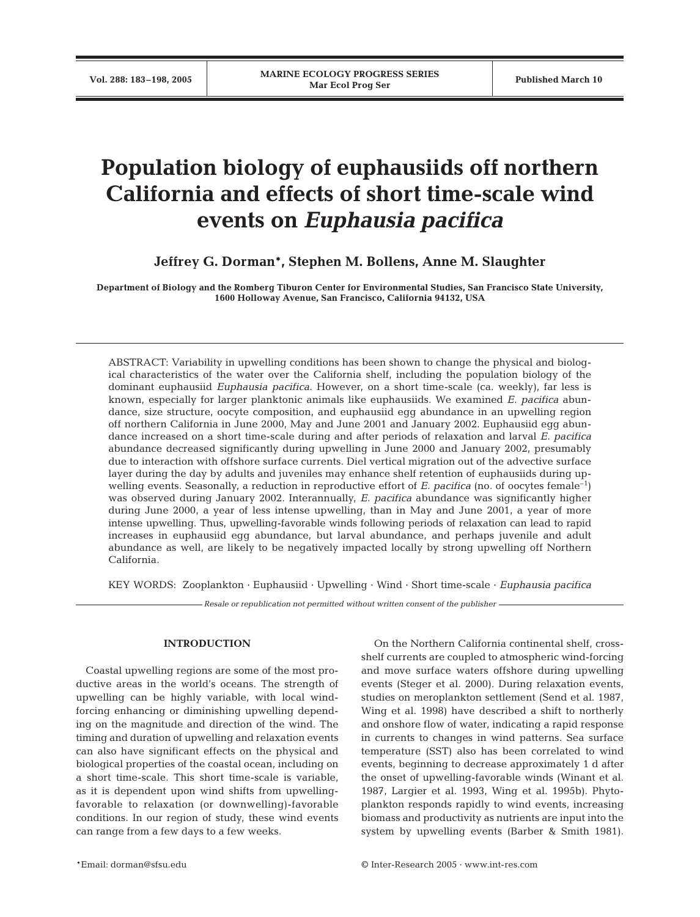# **Population biology of euphausiids off northern California and effects of short time-scale wind events on** *Euphausia pacifica*

**Jeffrey G. Dorman\*, Stephen M. Bollens, Anne M. Slaughter**

**Department of Biology and the Romberg Tiburon Center for Environmental Studies, San Francisco State University, 1600 Holloway Avenue, San Francisco, California 94132, USA**

ABSTRACT: Variability in upwelling conditions has been shown to change the physical and biological characteristics of the water over the California shelf, including the population biology of the dominant euphausiid *Euphausia pacifica*. However, on a short time-scale (ca. weekly), far less is known, especially for larger planktonic animals like euphausiids. We examined *E. pacifica* abundance, size structure, oocyte composition, and euphausiid egg abundance in an upwelling region off northern California in June 2000, May and June 2001 and January 2002. Euphausiid egg abundance increased on a short time-scale during and after periods of relaxation and larval *E. pacifica* abundance decreased significantly during upwelling in June 2000 and January 2002, presumably due to interaction with offshore surface currents. Diel vertical migration out of the advective surface layer during the day by adults and juveniles may enhance shelf retention of euphausiids during upwelling events. Seasonally, a reduction in reproductive effort of *E. pacifica* (no. of oocytes female–1) was observed during January 2002. Interannually, *E. pacifica* abundance was significantly higher during June 2000, a year of less intense upwelling, than in May and June 2001, a year of more intense upwelling. Thus, upwelling-favorable winds following periods of relaxation can lead to rapid increases in euphausiid egg abundance, but larval abundance, and perhaps juvenile and adult abundance as well, are likely to be negatively impacted locally by strong upwelling off Northern California.

KEY WORDS: Zooplankton · Euphausiid · Upwelling · Wind · Short time-scale · *Euphausia pacifica*

*Resale or republication not permitted without written consent of the publisher*

# **INTRODUCTION**

Coastal upwelling regions are some of the most productive areas in the world's oceans. The strength of upwelling can be highly variable, with local windforcing enhancing or diminishing upwelling depending on the magnitude and direction of the wind. The timing and duration of upwelling and relaxation events can also have significant effects on the physical and biological properties of the coastal ocean, including on a short time-scale. This short time-scale is variable, as it is dependent upon wind shifts from upwellingfavorable to relaxation (or downwelling)-favorable conditions. In our region of study, these wind events can range from a few days to a few weeks.

On the Northern California continental shelf, crossshelf currents are coupled to atmospheric wind-forcing and move surface waters offshore during upwelling events (Steger et al. 2000). During relaxation events, studies on meroplankton settlement (Send et al. 1987, Wing et al. 1998) have described a shift to northerly and onshore flow of water, indicating a rapid response in currents to changes in wind patterns. Sea surface temperature (SST) also has been correlated to wind events, beginning to decrease approximately 1 d after the onset of upwelling-favorable winds (Winant et al. 1987, Largier et al. 1993, Wing et al. 1995b). Phytoplankton responds rapidly to wind events, increasing biomass and productivity as nutrients are input into the system by upwelling events (Barber & Smith 1981).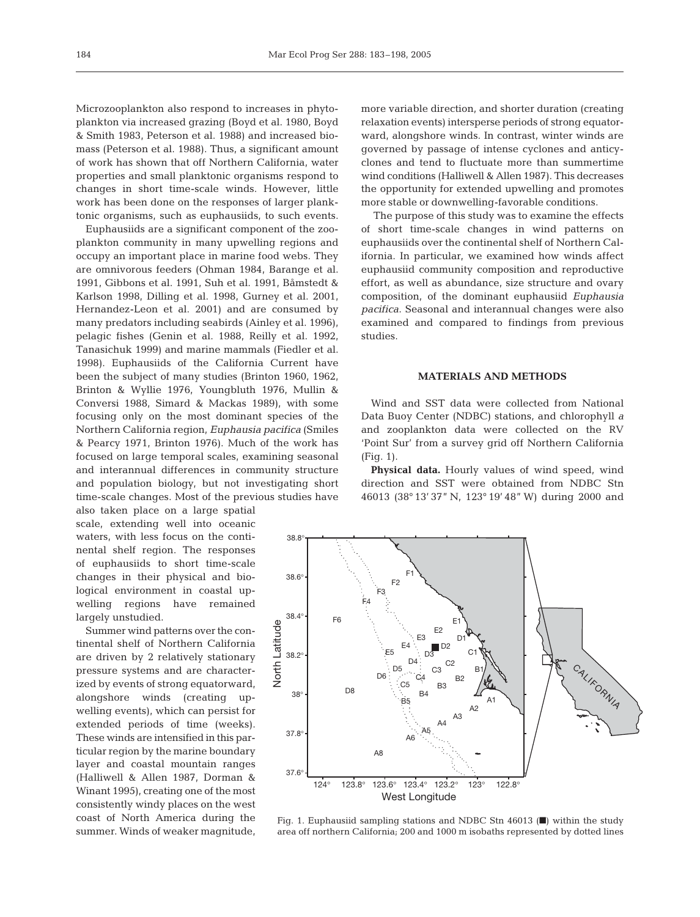Microzooplankton also respond to increases in phytoplankton via increased grazing (Boyd et al. 1980, Boyd & Smith 1983, Peterson et al. 1988) and increased biomass (Peterson et al. 1988). Thus, a significant amount of work has shown that off Northern California, water properties and small planktonic organisms respond to changes in short time-scale winds. However, little work has been done on the responses of larger planktonic organisms, such as euphausiids, to such events.

Euphausiids are a significant component of the zooplankton community in many upwelling regions and occupy an important place in marine food webs. They are omnivorous feeders (Ohman 1984, Barange et al. 1991, Gibbons et al. 1991, Suh et al. 1991, Båmstedt & Karlson 1998, Dilling et al. 1998, Gurney et al. 2001, Hernandez-Leon et al. 2001) and are consumed by many predators including seabirds (Ainley et al. 1996), pelagic fishes (Genin et al. 1988, Reilly et al. 1992, Tanasichuk 1999) and marine mammals (Fiedler et al. 1998). Euphausiids of the California Current have been the subject of many studies (Brinton 1960, 1962, Brinton & Wyllie 1976, Youngbluth 1976, Mullin & Conversi 1988, Simard & Mackas 1989), with some focusing only on the most dominant species of the Northern California region, *Euphausia pacifica* (Smiles & Pearcy 1971, Brinton 1976). Much of the work has focused on large temporal scales, examining seasonal and interannual differences in community structure and population biology, but not investigating short time-scale changes. Most of the previous studies have

also taken place on a large spatial scale, extending well into oceanic waters, with less focus on the continental shelf region. The responses of euphausiids to short time-scale changes in their physical and biological environment in coastal upwelling regions have remained largely unstudied.

Summer wind patterns over the continental shelf of Northern California are driven by 2 relatively stationary pressure systems and are characterized by events of strong equatorward, alongshore winds (creating upwelling events), which can persist for extended periods of time (weeks). These winds are intensified in this particular region by the marine boundary layer and coastal mountain ranges (Halliwell & Allen 1987, Dorman & Winant 1995), creating one of the most consistently windy places on the west coast of North America during the summer. Winds of weaker magnitude, more variable direction, and shorter duration (creating relaxation events) intersperse periods of strong equatorward, alongshore winds. In contrast, winter winds are governed by passage of intense cyclones and anticyclones and tend to fluctuate more than summertime wind conditions (Halliwell & Allen 1987). This decreases the opportunity for extended upwelling and promotes more stable or downwelling-favorable conditions.

The purpose of this study was to examine the effects of short time-scale changes in wind patterns on euphausiids over the continental shelf of Northern California. In particular, we examined how winds affect euphausiid community composition and reproductive effort, as well as abundance, size structure and ovary composition, of the dominant euphausiid *Euphausia pacifica*. Seasonal and interannual changes were also examined and compared to findings from previous studies.

# **MATERIALS AND METHODS**

Wind and SST data were collected from National Data Buoy Center (NDBC) stations, and chlorophyll *a* and zooplankton data were collected on the RV 'Point Sur' from a survey grid off Northern California (Fig. 1).

**Physical data.** Hourly values of wind speed, wind direction and SST were obtained from NDBC Stn 46013 (38° 13' 37" N, 123° 19' 48" W) during 2000 and



Fig. 1. Euphausiid sampling stations and NDBC Stn 46013  $\blacksquare$ ) within the study area off northern California; 200 and 1000 m isobaths represented by dotted lines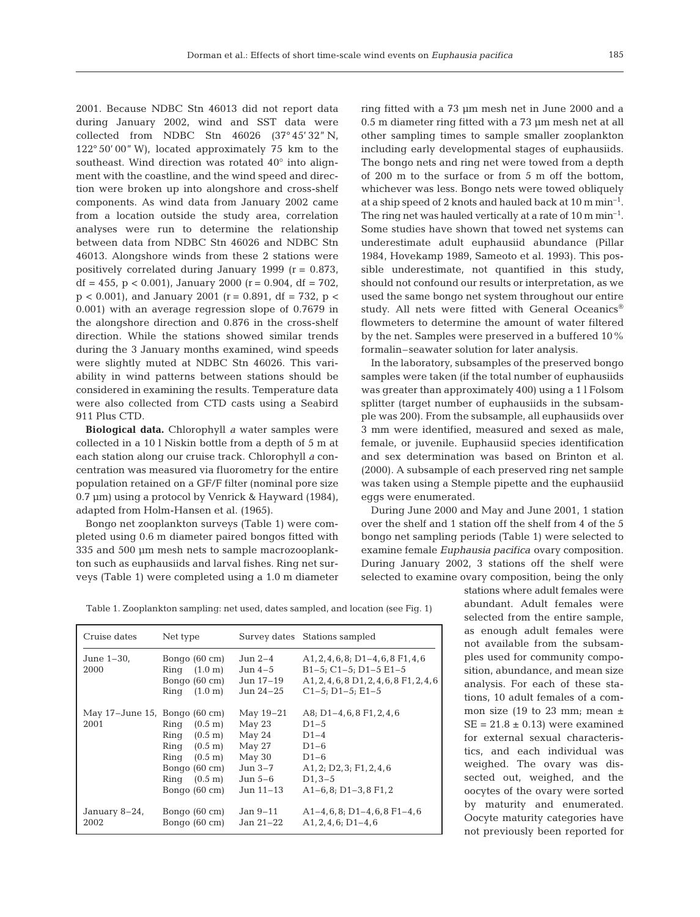2001. Because NDBC Stn 46013 did not report data during January 2002, wind and SST data were collected from NDBC Stn 46026 (37° 45' 32" N, 122° 50' 00" W), located approximately 75 km to the southeast. Wind direction was rotated 40° into alignment with the coastline, and the wind speed and direction were broken up into alongshore and cross-shelf components. As wind data from January 2002 came from a location outside the study area, correlation analyses were run to determine the relationship between data from NDBC Stn 46026 and NDBC Stn 46013. Alongshore winds from these 2 stations were positively correlated during January 1999 ( $r = 0.873$ , df = 455, p < 0.001), January 2000 (r = 0.904, df = 702,  $p < 0.001$ , and January 2001 (r = 0.891, df = 732, p < 0.001) with an average regression slope of 0.7679 in the alongshore direction and 0.876 in the cross-shelf direction. While the stations showed similar trends during the 3 January months examined, wind speeds were slightly muted at NDBC Stn 46026. This variability in wind patterns between stations should be considered in examining the results. Temperature data were also collected from CTD casts using a Seabird 911 Plus CTD.

**Biological data.** Chlorophyll *a* water samples were collected in a 10 l Niskin bottle from a depth of 5 m at each station along our cruise track. Chlorophyll *a* concentration was measured via fluorometry for the entire population retained on a GF/F filter (nominal pore size 0.7 µm) using a protocol by Venrick & Hayward (1984), adapted from Holm-Hansen et al. (1965).

Bongo net zooplankton surveys (Table 1) were completed using 0.6 m diameter paired bongos fitted with 335 and 500 µm mesh nets to sample macrozooplankton such as euphausiids and larval fishes. Ring net surveys (Table 1) were completed using a 1.0 m diameter ring fitted with a 73 µm mesh net in June 2000 and a 0.5 m diameter ring fitted with a 73 µm mesh net at all other sampling times to sample smaller zooplankton including early developmental stages of euphausiids. The bongo nets and ring net were towed from a depth of 200 m to the surface or from 5 m off the bottom, whichever was less. Bongo nets were towed obliquely at a ship speed of 2 knots and hauled back at 10 m min–1. The ring net was hauled vertically at a rate of  $10 \text{ m min}^{-1}$ . Some studies have shown that towed net systems can underestimate adult euphausiid abundance (Pillar 1984, Hovekamp 1989, Sameoto et al. 1993). This possible underestimate, not quantified in this study, should not confound our results or interpretation, as we used the same bongo net system throughout our entire study. All nets were fitted with General Oceanics flowmeters to determine the amount of water filtered by the net. Samples were preserved in a buffered 10% formalin–seawater solution for later analysis.

In the laboratory, subsamples of the preserved bongo samples were taken (if the total number of euphausiids was greater than approximately 400) using a 1 l Folsom splitter (target number of euphausiids in the subsample was 200). From the subsample, all euphausiids over 3 mm were identified, measured and sexed as male, female, or juvenile. Euphausiid species identification and sex determination was based on Brinton et al. (2000). A subsample of each preserved ring net sample was taken using a Stemple pipette and the euphausiid eggs were enumerated.

During June 2000 and May and June 2001, 1 station over the shelf and 1 station off the shelf from 4 of the 5 bongo net sampling periods (Table 1) were selected to examine female *Euphausia pacifica* ovary composition. During January 2002, 3 stations off the shelf were selected to examine ovary composition, being the only

Table 1. Zooplankton sampling: net used, dates sampled, and location (see Fig. 1)

| Cruise dates                                | Net type                                                                                                                                                                   |                                                                                        | Survey dates Stations sampled                                                                                                                                      |
|---------------------------------------------|----------------------------------------------------------------------------------------------------------------------------------------------------------------------------|----------------------------------------------------------------------------------------|--------------------------------------------------------------------------------------------------------------------------------------------------------------------|
| June 1-30,<br>2000                          | Bongo $(60 \text{ cm})$<br>Ring $(1.0 \text{ m})$<br>Bongo $(60 \text{ cm})$<br>Ring $(1.0 \text{ m})$                                                                     | Jun 2–4<br>Jun 4–5<br>Jun 17-19<br>Jun $24-25$                                         | $A1, 2, 4, 6, 8$ ; D <sub>1</sub> -4, 6, 8 F <sub>1</sub> , 4, 6<br>$B1-5$ ; C1-5; D1-5 E1-5<br>$A1, 2, 4, 6, 8 D1, 2, 4, 6, 8 F1, 2, 4, 6$<br>$C1-5$ ; D1-5; E1-5 |
| May $17$ –June $15$ , Bongo (60 cm)<br>2001 | Ring $(0.5 \text{ m})$<br>Ring $(0.5 \text{ m})$<br>Ring $(0.5 \text{ m})$<br>Ring $(0.5 \text{ m})$<br>Bongo $(60 \text{ cm})$<br>Ring $(0.5 \text{ m})$<br>Bongo (60 cm) | May $19-21$<br>May 23<br>May 24<br>May 27<br>May 30<br>Jun 3–7<br>Jun 5–6<br>Jun 11–13 | A8; $D1-4, 6, 8$ F1, 2, 4, 6<br>$D1-5$<br>$D1-4$<br>$D1-6$<br>$D1-6$<br>A1, 2; D2, 3; F1, 2, 4, 6<br>$D1, 3-5$<br>$A1-6, 8; D1-3, 8 F1, 2$                         |
| January 8–24,<br>2002                       | Bongo $(60 \text{ cm})$<br>Bongo $(60 \text{ cm})$                                                                                                                         | Jan 9–11<br>Jan 21–22                                                                  | $A1-4, 6, 8; D1-4, 6, 8 F1-4, 6$<br>$A1, 2, 4, 6$ ; $D1-4, 6$                                                                                                      |

stations where adult females were abundant. Adult females were selected from the entire sample, as enough adult females were not available from the subsamples used for community composition, abundance, and mean size analysis. For each of these stations, 10 adult females of a common size (19 to 23 mm; mean  $\pm$  $SE = 21.8 \pm 0.13$  were examined for external sexual characteristics, and each individual was weighed. The ovary was dissected out, weighed, and the oocytes of the ovary were sorted by maturity and enumerated. Oocyte maturity categories have not previously been reported for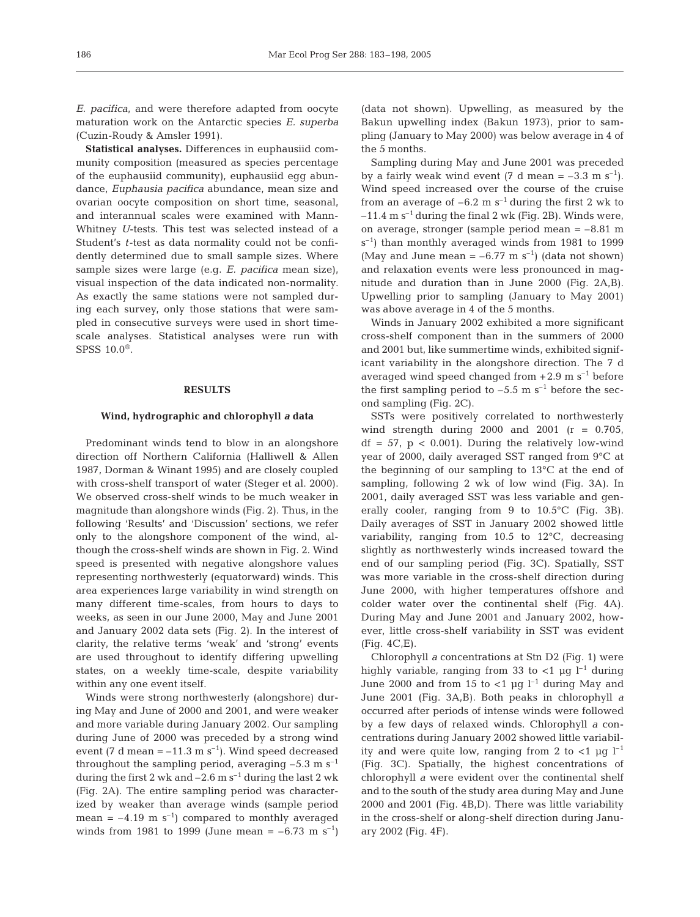*E. pacifica,* and were therefore adapted from oocyte maturation work on the Antarctic species *E. superba* (Cuzin-Roudy & Amsler 1991).

**Statistical analyses.** Differences in euphausiid community composition (measured as species percentage of the euphausiid community), euphausiid egg abundance, *Euphausia pacifica* abundance, mean size and ovarian oocyte composition on short time, seasonal, and interannual scales were examined with Mann-Whitney *U*-tests. This test was selected instead of a Student's *t*-test as data normality could not be confidently determined due to small sample sizes. Where sample sizes were large (e.g. *E. pacifica* mean size), visual inspection of the data indicated non-normality. As exactly the same stations were not sampled during each survey, only those stations that were sampled in consecutive surveys were used in short timescale analyses. Statistical analyses were run with SPSS  $10.0^{\circ}$ .

# **RESULTS**

# **Wind, hydrographic and chlorophyll** *a* **data**

Predominant winds tend to blow in an alongshore direction off Northern California (Halliwell & Allen 1987, Dorman & Winant 1995) and are closely coupled with cross-shelf transport of water (Steger et al. 2000). We observed cross-shelf winds to be much weaker in magnitude than alongshore winds (Fig. 2). Thus, in the following 'Results' and 'Discussion' sections, we refer only to the alongshore component of the wind, although the cross-shelf winds are shown in Fig. 2. Wind speed is presented with negative alongshore values representing northwesterly (equatorward) winds. This area experiences large variability in wind strength on many different time-scales, from hours to days to weeks, as seen in our June 2000, May and June 2001 and January 2002 data sets (Fig. 2). In the interest of clarity, the relative terms 'weak' and 'strong' events are used throughout to identify differing upwelling states, on a weekly time-scale, despite variability within any one event itself.

Winds were strong northwesterly (alongshore) during May and June of 2000 and 2001, and were weaker and more variable during January 2002. Our sampling during June of 2000 was preceded by a strong wind event (7 d mean  $= -11.3$  m s<sup>-1</sup>). Wind speed decreased throughout the sampling period, averaging  $-5.3 \text{ m s}^{-1}$ during the first 2 wk and  $-2.6$  m s<sup> $-1$ </sup> during the last 2 wk (Fig. 2A). The entire sampling period was characterized by weaker than average winds (sample period mean =  $-4.19$  m s<sup>-1</sup>) compared to monthly averaged winds from 1981 to 1999 (June mean =  $-6.73$  m s<sup>-1</sup>)

(data not shown). Upwelling, as measured by the Bakun upwelling index (Bakun 1973), prior to sampling (January to May 2000) was below average in 4 of the 5 months.

Sampling during May and June 2001 was preceded by a fairly weak wind event  $(7 \text{ d mean } = -3.3 \text{ m s}^{-1})$ . Wind speed increased over the course of the cruise from an average of  $-6.2$  m s<sup>-1</sup> during the first 2 wk to  $-11.4$  m s<sup>-1</sup> during the final 2 wk (Fig. 2B). Winds were, on average, stronger (sample period mean  $= -8.81$  m  $s^{-1}$ ) than monthly averaged winds from 1981 to 1999 (May and June mean =  $-6.77$  m s<sup>-1</sup>) (data not shown) and relaxation events were less pronounced in magnitude and duration than in June 2000 (Fig. 2A,B). Upwelling prior to sampling (January to May 2001) was above average in 4 of the 5 months.

Winds in January 2002 exhibited a more significant cross-shelf component than in the summers of 2000 and 2001 but, like summertime winds, exhibited significant variability in the alongshore direction. The 7 d averaged wind speed changed from  $+2.9 \text{ m s}^{-1}$  before the first sampling period to  $-5.5$  m s<sup>-1</sup> before the second sampling (Fig. 2C).

SSTs were positively correlated to northwesterly wind strength during 2000 and 2001  $(r = 0.705)$ ,  $df = 57$ ,  $p < 0.001$ . During the relatively low-wind year of 2000, daily averaged SST ranged from 9°C at the beginning of our sampling to 13°C at the end of sampling, following 2 wk of low wind (Fig. 3A). In 2001, daily averaged SST was less variable and generally cooler, ranging from 9 to 10.5°C (Fig. 3B). Daily averages of SST in January 2002 showed little variability, ranging from 10.5 to 12°C, decreasing slightly as northwesterly winds increased toward the end of our sampling period (Fig. 3C). Spatially, SST was more variable in the cross-shelf direction during June 2000, with higher temperatures offshore and colder water over the continental shelf (Fig. 4A). During May and June 2001 and January 2002, however, little cross-shelf variability in SST was evident (Fig. 4C,E).

Chlorophyll *a* concentrations at Stn D2 (Fig. 1) were highly variable, ranging from 33 to <1  $\mu$ g l<sup>-1</sup> during June 2000 and from 15 to  $<$ 1 µg l<sup>-1</sup> during May and June 2001 (Fig. 3A,B). Both peaks in chlorophyll *a* occurred after periods of intense winds were followed by a few days of relaxed winds. Chlorophyll *a* concentrations during January 2002 showed little variability and were quite low, ranging from 2 to  $\langle 1 \rangle$   $\mu$ g l<sup>-1</sup> (Fig. 3C). Spatially, the highest concentrations of chlorophyll *a* were evident over the continental shelf and to the south of the study area during May and June 2000 and 2001 (Fig. 4B,D). There was little variability in the cross-shelf or along-shelf direction during January 2002 (Fig. 4F).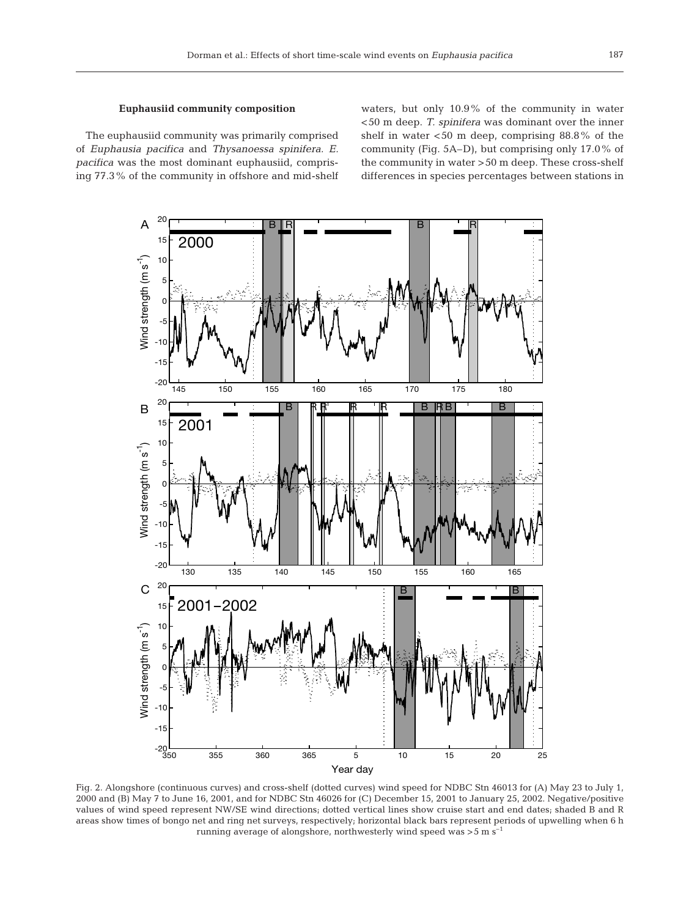# **Euphausiid community composition**

The euphausiid community was primarily comprised of *Euphausia pacifica* and *Thysanoessa spinifera. E. pacifica* was the most dominant euphausiid, comprising 77.3% of the community in offshore and mid-shelf waters, but only 10.9% of the community in water <50 m deep. *T. spinifera* was dominant over the inner shelf in water  $<50$  m deep, comprising 88.8% of the community (Fig. 5A–D), but comprising only 17.0% of the community in water >50 m deep. These cross-shelf differences in species percentages between stations in



Fig. 2. Alongshore (continuous curves) and cross-shelf (dotted curves) wind speed for NDBC Stn 46013 for (A) May 23 to July 1, 2000 and (B) May 7 to June 16, 2001, and for NDBC Stn 46026 for (C) December 15, 2001 to January 25, 2002. Negative/positive values of wind speed represent NW/SE wind directions; dotted vertical lines show cruise start and end dates; shaded B and R areas show times of bongo net and ring net surveys, respectively; horizontal black bars represent periods of upwelling when 6 h running average of alongshore, northwesterly wind speed was  $>$  5 m s<sup> $-1$ </sup>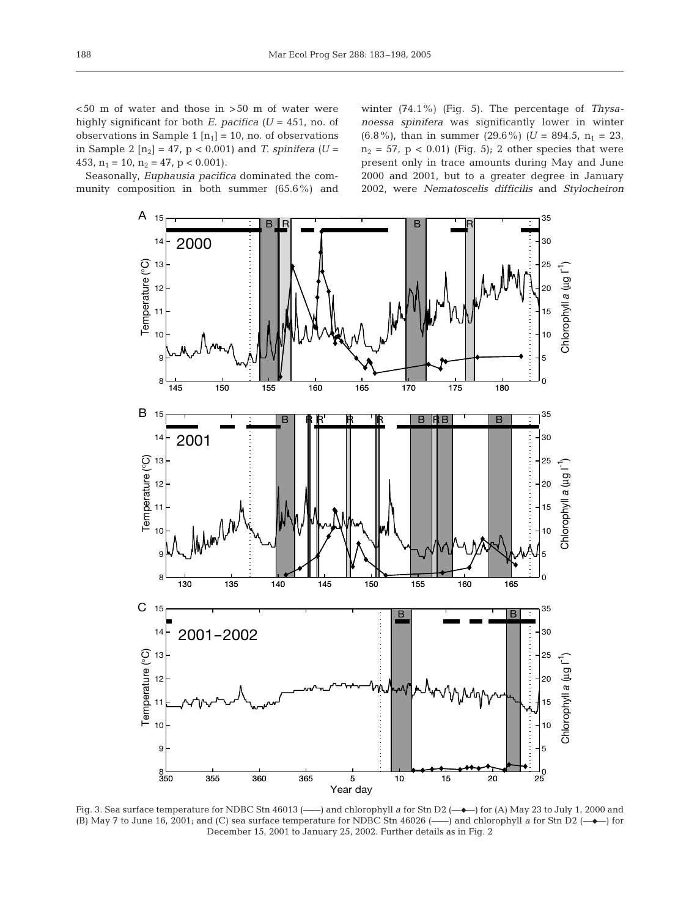<50 m of water and those in >50 m of water were highly significant for both *E. pacifica (U* = 451, no. of observations in Sample 1  $[n_1] = 10$ , no. of observations in Sample 2  $[n_2] = 47$ ,  $p < 0.001$ ) and *T. spinifera* (*U* = 453,  $n_1 = 10$ ,  $n_2 = 47$ ,  $p < 0.001$ ).

Seasonally, *Euphausia pacifica* dominated the community composition in both summer (65.6%) and winter (74.1%) (Fig. 5). The percentage of *Thysanoessa spinifera* was significantly lower in winter  $(6.8\%)$ , than in summer  $(29.6\%)$   $(U = 894.5, n_1 = 23,$  $n_2 = 57$ ,  $p < 0.01$ ) (Fig. 5); 2 other species that were present only in trace amounts during May and June 2000 and 2001, but to a greater degree in January 2002, were *Nematoscelis difficilis* and *Stylocheiron*



Fig. 3. Sea surface temperature for NDBC Stn 46013 (——) and chlorophyll *a* for Stn D2 (——) for (A) May 23 to July 1, 2000 and (B) May 7 to June 16, 2001; and (C) sea surface temperature for NDBC Stn 46026  $(\_\_)$  and chlorophyll *a* for Stn D2  $(\_\_)$  for December 15, 2001 to January 25, 2002. Further details as in Fig. 2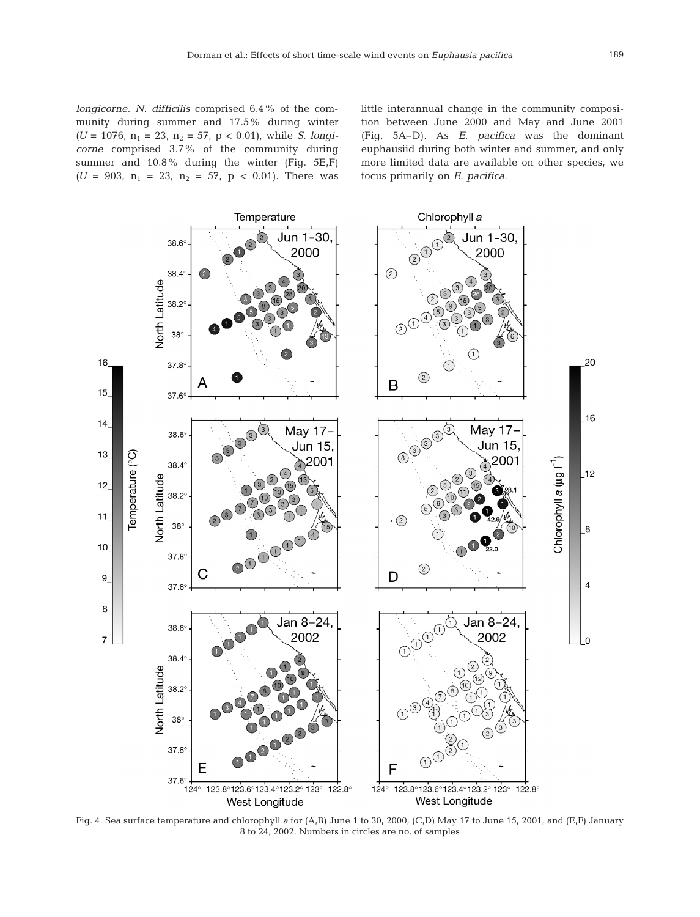*longicorne. N. difficilis* comprised 6.4% of the community during summer and 17.5% during winter  $(U = 1076, n_1 = 23, n_2 = 57, p < 0.01)$ , while *S. longicorne* comprised 3.7% of the community during summer and 10.8% during the winter (Fig. 5E,F)  $(U = 903, n_1 = 23, n_2 = 57, p < 0.01)$ . There was little interannual change in the community composition between June 2000 and May and June 2001 (Fig. 5A–D). As *E. pacifica* was the dominant euphausiid during both winter and summer, and only more limited data are available on other species, we focus primarily on *E. pacifica*.



Fig. 4. Sea surface temperature and chlorophyll *a* for (A,B) June 1 to 30, 2000, (C,D) May 17 to June 15, 2001, and (E,F) January 8 to 24, 2002. Numbers in circles are no. of samples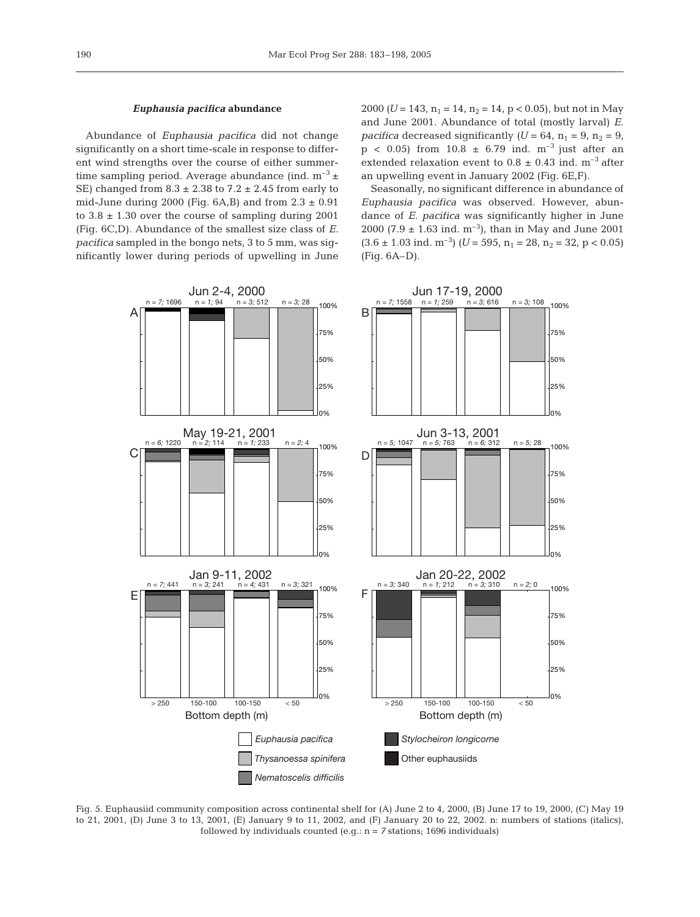# *Euphausia pacifica* **abundance**

Abundance of *Euphausia pacifica* did not change significantly on a short time-scale in response to different wind strengths over the course of either summertime sampling period. Average abundance (ind.  $m^{-3} \pm$ SE) changed from  $8.3 \pm 2.38$  to  $7.2 \pm 2.45$  from early to mid-June during 2000 (Fig.  $6A$ ,B) and from  $2.3 \pm 0.91$ to  $3.8 \pm 1.30$  over the course of sampling during 2001 (Fig. 6C,D). Abundance of the smallest size class of *E. pacifica* sampled in the bongo nets, 3 to 5 mm, was significantly lower during periods of upwelling in June 2000 *(U* = 143,  $n_1$  = 14,  $n_2$  = 14,  $p$  < 0.05), but not in May and June 2001. Abundance of total (mostly larval) *E. pacifica* decreased significantly  $(U = 64, n_1 = 9, n_2 = 9,$  $p$  < 0.05) from 10.8  $\pm$  6.79 ind. m<sup>-3</sup> just after an extended relaxation event to  $0.8 \pm 0.43$  ind. m<sup>-3</sup> after an upwelling event in January 2002 (Fig. 6E,F).

Seasonally, no significant difference in abundance of *Euphausia pacifica* was observed. However, abundance of *E. pacifica* was significantly higher in June 2000 (7.9  $\pm$  1.63 ind. m<sup>-3</sup>), than in May and June 2001  $(3.6 \pm 1.03 \text{ ind. m}^{-3})$   $(U = 595, n_1 = 28, n_2 = 32, p < 0.05)$ (Fig. 6A–D).



Fig. 5. Euphausiid community composition across continental shelf for (A) June 2 to 4, 2000, (B) June 17 to 19, 2000, (C) May 19 to 21, 2001, (D) June 3 to 13, 2001, (E) January 9 to 11, 2002, and (F) January 20 to 22, 2002. n: numbers of stations (italics), followed by individuals counted (e.g.:  $n = 7$  stations; 1696 individuals)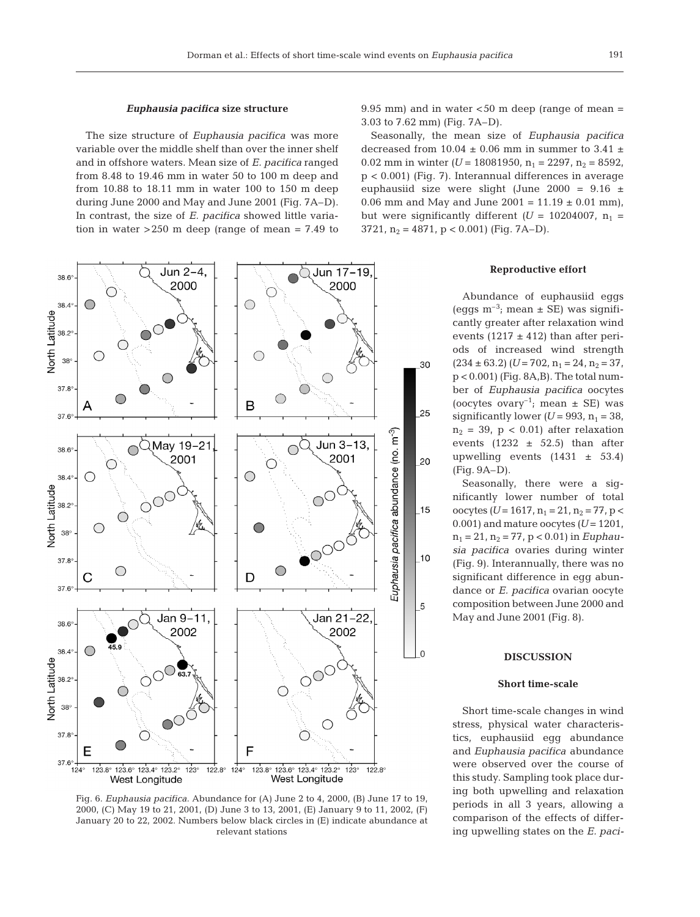# *Euphausia pacifica* **size structure**

The size structure of *Euphausia pacifica* was more variable over the middle shelf than over the inner shelf and in offshore waters. Mean size of *E. pacifica* ranged from 8.48 to 19.46 mm in water 50 to 100 m deep and from 10.88 to 18.11 mm in water 100 to 150 m deep during June 2000 and May and June 2001 (Fig. 7A–D). In contrast, the size of *E. pacifica* showed little variation in water  $>250$  m deep (range of mean = 7.49 to



Fig. 6. *Euphausia pacifica.* Abundance for (A) June 2 to 4, 2000, (B) June 17 to 19, 2000, (C) May 19 to 21, 2001, (D) June 3 to 13, 2001, (E) January 9 to 11, 2002, (F) January 20 to 22, 2002. Numbers below black circles in (E) indicate abundance at relevant stations

9.95 mm) and in water  $<$  50 m deep (range of mean  $=$ 3.03 to 7.62 mm) (Fig. 7A–D).

Seasonally, the mean size of *Euphausia pacifica* decreased from 10.04  $\pm$  0.06 mm in summer to 3.41  $\pm$ 0.02 mm in winter  $(U = 18081950, n_1 = 2297, n_2 = 8592,$ p < 0.001) (Fig. 7). Interannual differences in average euphausiid size were slight (June 2000 = 9.16 ± 0.06 mm and May and June 2001 =  $11.19 \pm 0.01$  mm), but were significantly different  $(U = 10204007, n_1 =$ 3721,  $n_2 = 4871$ ,  $p < 0.001$ ) (Fig. 7A–D).

#### **Reproductive effort**

Abundance of euphausiid eggs (eggs  $m^{-3}$ ; mean  $\pm$  SE) was significantly greater after relaxation wind events (1217  $\pm$  412) than after periods of increased wind strength  $(234 \pm 63.2)$   $(U = 702, n_1 = 24, n_2 = 37,$ p < 0.001) (Fig. 8A,B). The total number of *Euphausia pacifica* oocytes (oocytes ovary<sup>-1</sup>; mean  $\pm$  SE) was significantly lower  $(U = 993, n_1 = 38,$  $n_2$  = 39, p < 0.01) after relaxation events  $(1232 \pm 52.5)$  than after upwelling events  $(1431 \pm 53.4)$ (Fig. 9A–D).

Seasonally, there were a significantly lower number of total oocytes  $(U = 1617, n_1 = 21, n_2 = 77, p <$ 0.001) and mature oocytes  $(U = 1201,$  $n_1 = 21$ ,  $n_2 = 77$ ,  $p < 0.01$ ) in *Euphausia pacifica* ovaries during winter (Fig. 9). Interannually, there was no significant difference in egg abundance or *E. pacifica* ovarian oocyte composition between June 2000 and May and June 2001 (Fig. 8).

# **DISCUSSION**

## **Short time-scale**

Short time-scale changes in wind stress, physical water characteristics, euphausiid egg abundance and *Euphausia pacifica* abundance were observed over the course of this study. Sampling took place during both upwelling and relaxation periods in all 3 years, allowing a comparison of the effects of differing upwelling states on the *E. paci-*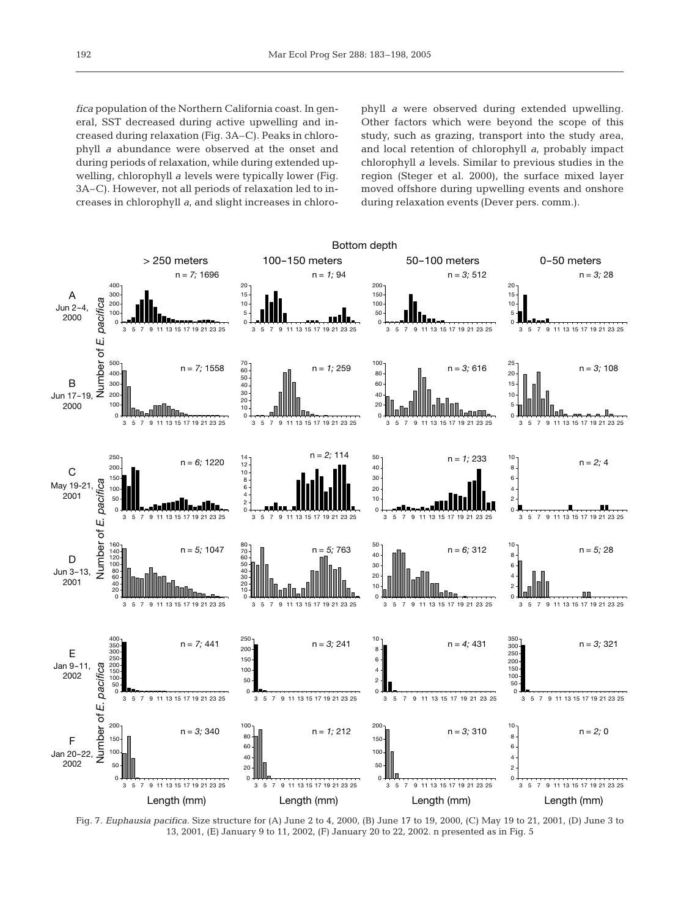*fica* population of the Northern California coast. In general, SST decreased during active upwelling and increased during relaxation (Fig. 3A–C). Peaks in chlorophyll *a* abundance were observed at the onset and during periods of relaxation, while during extended upwelling, chlorophyll *a* levels were typically lower (Fig. 3A–C). However, not all periods of relaxation led to increases in chlorophyll *a,* and slight increases in chlorophyll *a* were observed during extended upwelling. Other factors which were beyond the scope of this study, such as grazing, transport into the study area, and local retention of chlorophyll *a*, probably impact chlorophyll *a* levels. Similar to previous studies in the region (Steger et al. 2000), the surface mixed layer moved offshore during upwelling events and onshore during relaxation events (Dever pers. comm.).



Fig. 7. *Euphausia pacifica.* Size structure for (A) June 2 to 4, 2000, (B) June 17 to 19, 2000, (C) May 19 to 21, 2001, (D) June 3 to 13, 2001, (E) January 9 to 11, 2002, (F) January 20 to 22, 2002. n presented as in Fig. 5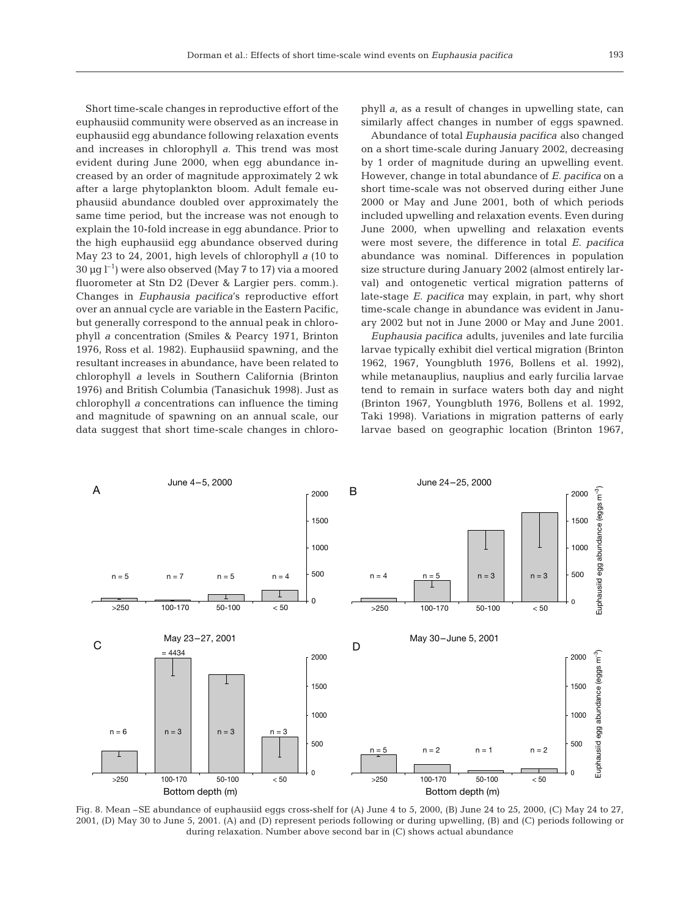Short time-scale changes in reproductive effort of the euphausiid community were observed as an increase in euphausiid egg abundance following relaxation events and increases in chlorophyll *a*. This trend was most evident during June 2000, when egg abundance increased by an order of magnitude approximately 2 wk after a large phytoplankton bloom. Adult female euphausiid abundance doubled over approximately the same time period, but the increase was not enough to explain the 10-fold increase in egg abundance. Prior to the high euphausiid egg abundance observed during May 23 to 24, 2001, high levels of chlorophyll *a* (10 to  $30 \,\mathrm{µg\,l^{-1}}$ ) were also observed (May 7 to 17) via a moored fluorometer at Stn D2 (Dever & Largier pers. comm.). Changes in *Euphausia pacifica*'s reproductive effort over an annual cycle are variable in the Eastern Pacific, but generally correspond to the annual peak in chlorophyll *a* concentration (Smiles & Pearcy 1971, Brinton 1976, Ross et al. 1982). Euphausiid spawning, and the resultant increases in abundance, have been related to chlorophyll *a* levels in Southern California (Brinton 1976) and British Columbia (Tanasichuk 1998). Just as chlorophyll *a* concentrations can influence the timing and magnitude of spawning on an annual scale, our data suggest that short time-scale changes in chloro-

phyll *a*, as a result of changes in upwelling state, can similarly affect changes in number of eggs spawned.

Abundance of total *Euphausia pacifica* also changed on a short time-scale during January 2002, decreasing by 1 order of magnitude during an upwelling event. However, change in total abundance of *E. pacifica* on a short time-scale was not observed during either June 2000 or May and June 2001, both of which periods included upwelling and relaxation events. Even during June 2000, when upwelling and relaxation events were most severe, the difference in total *E. pacifica* abundance was nominal. Differences in population size structure during January 2002 (almost entirely larval) and ontogenetic vertical migration patterns of late-stage *E. pacifica* may explain, in part, why short time-scale change in abundance was evident in January 2002 but not in June 2000 or May and June 2001.

*Euphausia pacifica* adults, juveniles and late furcilia larvae typically exhibit diel vertical migration (Brinton 1962, 1967, Youngbluth 1976, Bollens et al. 1992), while metanauplius, nauplius and early furcilia larvae tend to remain in surface waters both day and night (Brinton 1967, Youngbluth 1976, Bollens et al. 1992, Taki 1998). Variations in migration patterns of early larvae based on geographic location (Brinton 1967,



Fig. 8. Mean –SE abundance of euphausiid eggs cross-shelf for (A) June 4 to 5, 2000, (B) June 24 to 25, 2000, (C) May 24 to 27, 2001, (D) May 30 to June 5, 2001. (A) and (D) represent periods following or during upwelling, (B) and (C) periods following or during relaxation. Number above second bar in (C) shows actual abundance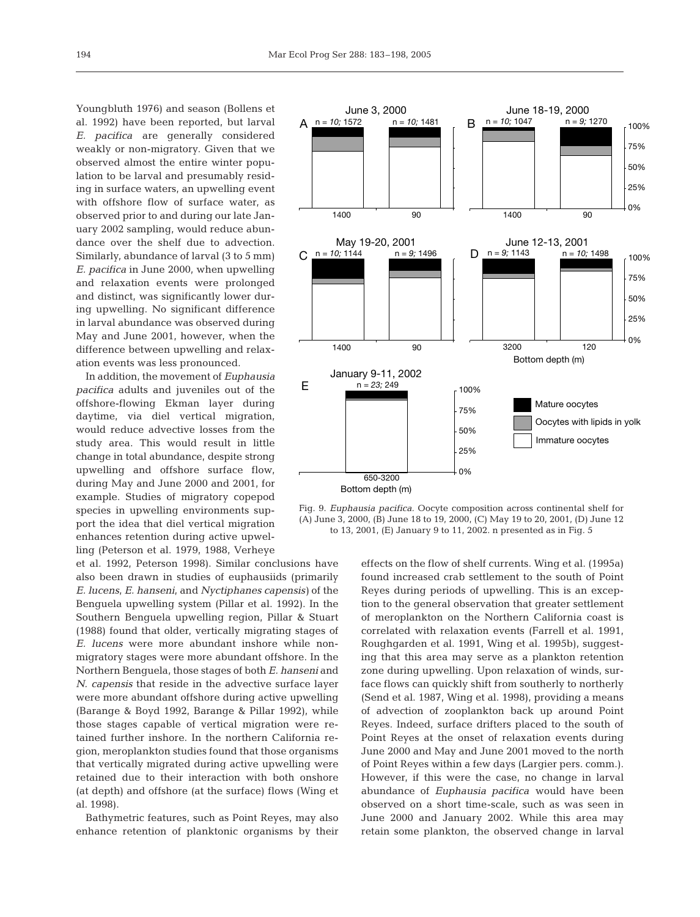Youngbluth 1976) and season (Bollens et al. 1992) have been reported, but larval *E. pacifica* are generally considered weakly or non-migratory. Given that we observed almost the entire winter population to be larval and presumably residing in surface waters, an upwelling event with offshore flow of surface water, as observed prior to and during our late January 2002 sampling, would reduce abundance over the shelf due to advection. Similarly, abundance of larval (3 to 5 mm) *E. pacifica* in June 2000, when upwelling and relaxation events were prolonged and distinct, was significantly lower during upwelling. No significant difference in larval abundance was observed during May and June 2001, however, when the difference between upwelling and relaxation events was less pronounced.

In addition, the movement of *Euphausia pacifica* adults and juveniles out of the offshore-flowing Ekman layer during daytime, via diel vertical migration, would reduce advective losses from the study area. This would result in little change in total abundance, despite strong upwelling and offshore surface flow, during May and June 2000 and 2001, for example. Studies of migratory copepod species in upwelling environments support the idea that diel vertical migration enhances retention during active upwelling (Peterson et al. 1979, 1988, Verheye

et al. 1992, Peterson 1998). Similar conclusions have also been drawn in studies of euphausiids (primarily *E. lucens, E. hanseni,* and *Nyctiphanes capensis)* of the Benguela upwelling system (Pillar et al. 1992). In the Southern Benguela upwelling region, Pillar & Stuart (1988) found that older, vertically migrating stages of *E. lucens* were more abundant inshore while nonmigratory stages were more abundant offshore. In the Northern Benguela, those stages of both *E. hanseni* and *N. capensis* that reside in the advective surface layer were more abundant offshore during active upwelling (Barange & Boyd 1992, Barange & Pillar 1992), while those stages capable of vertical migration were retained further inshore. In the northern California region, meroplankton studies found that those organisms that vertically migrated during active upwelling were retained due to their interaction with both onshore (at depth) and offshore (at the surface) flows (Wing et al. 1998).

Bathymetric features, such as Point Reyes, may also enhance retention of planktonic organisms by their



Fig. 9. *Euphausia pacifica.* Oocyte composition across continental shelf for (A) June 3, 2000, (B) June 18 to 19, 2000, (C) May 19 to 20, 2001, (D) June 12 to 13, 2001, (E) January 9 to 11, 2002. n presented as in Fig. 5

effects on the flow of shelf currents. Wing et al. (1995a) found increased crab settlement to the south of Point Reyes during periods of upwelling. This is an exception to the general observation that greater settlement of meroplankton on the Northern California coast is correlated with relaxation events (Farrell et al. 1991, Roughgarden et al. 1991, Wing et al. 1995b), suggesting that this area may serve as a plankton retention zone during upwelling. Upon relaxation of winds, surface flows can quickly shift from southerly to northerly (Send et al. 1987, Wing et al. 1998), providing a means of advection of zooplankton back up around Point Reyes. Indeed, surface drifters placed to the south of Point Reyes at the onset of relaxation events during June 2000 and May and June 2001 moved to the north of Point Reyes within a few days (Largier pers. comm.). However, if this were the case, no change in larval abundance of *Euphausia pacifica* would have been observed on a short time-scale, such as was seen in June 2000 and January 2002. While this area may retain some plankton, the observed change in larval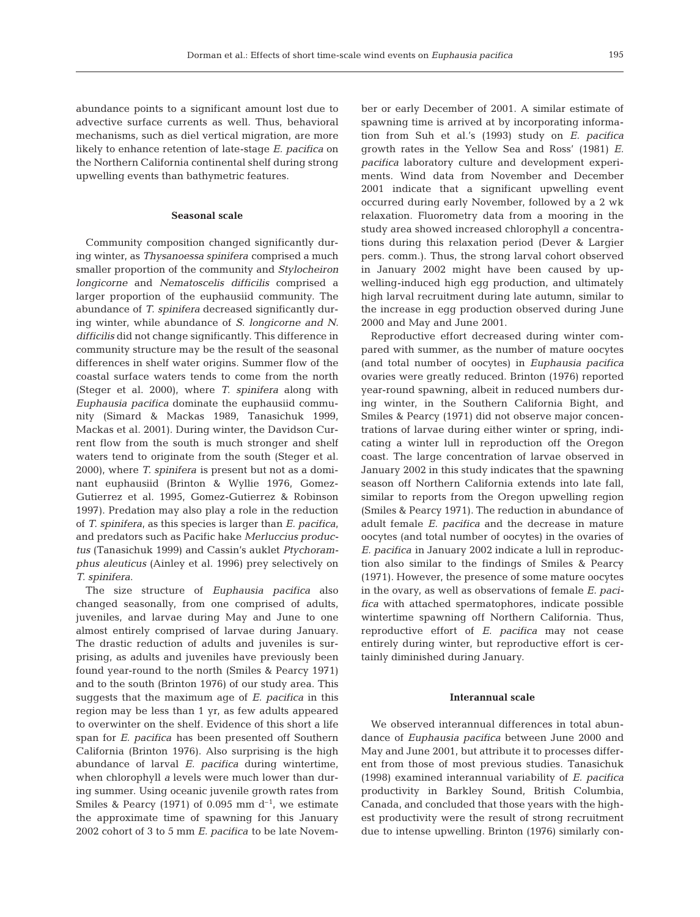abundance points to a significant amount lost due to advective surface currents as well. Thus, behavioral mechanisms, such as diel vertical migration, are more likely to enhance retention of late-stage *E. pacifica* on the Northern California continental shelf during strong upwelling events than bathymetric features.

# **Seasonal scale**

Community composition changed significantly during winter, as *Thysanoessa spinifera* comprised a much smaller proportion of the community and *Stylocheiron longicorne* and *Nematoscelis difficilis* comprised a larger proportion of the euphausiid community. The abundance of *T. spinifera* decreased significantly during winter, while abundance of *S. longicorne and N. difficilis* did not change significantly. This difference in community structure may be the result of the seasonal differences in shelf water origins. Summer flow of the coastal surface waters tends to come from the north (Steger et al. 2000), where *T. spinifera* along with *Euphausia pacifica* dominate the euphausiid community (Simard & Mackas 1989, Tanasichuk 1999, Mackas et al. 2001). During winter, the Davidson Current flow from the south is much stronger and shelf waters tend to originate from the south (Steger et al. 2000), where *T. spinifera* is present but not as a dominant euphausiid (Brinton & Wyllie 1976, Gomez-Gutierrez et al. 1995, Gomez-Gutierrez & Robinson 1997). Predation may also play a role in the reduction of *T. spinifera,* as this species is larger than *E. pacifica,* and predators such as Pacific hake *Merluccius productus* (Tanasichuk 1999) and Cassin's auklet *Ptychoramphus aleuticus* (Ainley et al. 1996) prey selectively on *T. spinifera*.

The size structure of *Euphausia pacifica* also changed seasonally, from one comprised of adults, juveniles, and larvae during May and June to one almost entirely comprised of larvae during January. The drastic reduction of adults and juveniles is surprising, as adults and juveniles have previously been found year-round to the north (Smiles & Pearcy 1971) and to the south (Brinton 1976) of our study area. This suggests that the maximum age of *E. pacifica* in this region may be less than 1 yr, as few adults appeared to overwinter on the shelf. Evidence of this short a life span for *E. pacifica* has been presented off Southern California (Brinton 1976). Also surprising is the high abundance of larval *E. pacifica* during wintertime, when chlorophyll *a* levels were much lower than during summer. Using oceanic juvenile growth rates from Smiles & Pearcy (1971) of 0.095 mm  $d^{-1}$ , we estimate the approximate time of spawning for this January 2002 cohort of 3 to 5 mm *E. pacifica* to be late November or early December of 2001. A similar estimate of spawning time is arrived at by incorporating information from Suh et al.'s (1993) study on *E. pacifica* growth rates in the Yellow Sea and Ross' (1981) *E. pacifica* laboratory culture and development experiments. Wind data from November and December 2001 indicate that a significant upwelling event occurred during early November, followed by a 2 wk relaxation. Fluorometry data from a mooring in the study area showed increased chlorophyll *a* concentrations during this relaxation period (Dever & Largier pers. comm.). Thus, the strong larval cohort observed in January 2002 might have been caused by upwelling-induced high egg production, and ultimately high larval recruitment during late autumn, similar to the increase in egg production observed during June 2000 and May and June 2001.

Reproductive effort decreased during winter compared with summer, as the number of mature oocytes (and total number of oocytes) in *Euphausia pacifica* ovaries were greatly reduced. Brinton (1976) reported year-round spawning, albeit in reduced numbers during winter, in the Southern California Bight, and Smiles & Pearcy (1971) did not observe major concentrations of larvae during either winter or spring, indicating a winter lull in reproduction off the Oregon coast. The large concentration of larvae observed in January 2002 in this study indicates that the spawning season off Northern California extends into late fall, similar to reports from the Oregon upwelling region (Smiles & Pearcy 1971). The reduction in abundance of adult female *E. pacifica* and the decrease in mature oocytes (and total number of oocytes) in the ovaries of *E. pacifica* in January 2002 indicate a lull in reproduction also similar to the findings of Smiles & Pearcy (1971). However, the presence of some mature oocytes in the ovary, as well as observations of female *E. pacifica* with attached spermatophores, indicate possible wintertime spawning off Northern California. Thus, reproductive effort of *E. pacifica* may not cease entirely during winter, but reproductive effort is certainly diminished during January.

## **Interannual scale**

We observed interannual differences in total abundance of *Euphausia pacifica* between June 2000 and May and June 2001, but attribute it to processes different from those of most previous studies. Tanasichuk (1998) examined interannual variability of *E. pacifica* productivity in Barkley Sound, British Columbia, Canada, and concluded that those years with the highest productivity were the result of strong recruitment due to intense upwelling. Brinton (1976) similarly con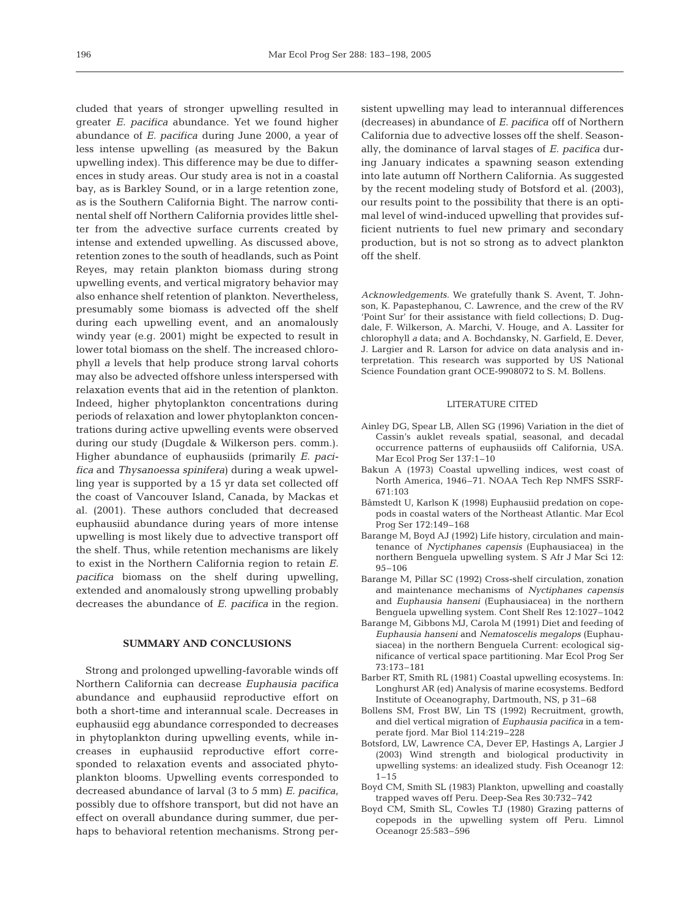cluded that years of stronger upwelling resulted in greater *E. pacifica* abundance. Yet we found higher abundance of *E. pacifica* during June 2000, a year of less intense upwelling (as measured by the Bakun upwelling index). This difference may be due to differences in study areas. Our study area is not in a coastal bay, as is Barkley Sound, or in a large retention zone, as is the Southern California Bight. The narrow continental shelf off Northern California provides little shelter from the advective surface currents created by intense and extended upwelling. As discussed above, retention zones to the south of headlands, such as Point Reyes, may retain plankton biomass during strong upwelling events, and vertical migratory behavior may also enhance shelf retention of plankton. Nevertheless, presumably some biomass is advected off the shelf during each upwelling event, and an anomalously windy year (e.g. 2001) might be expected to result in lower total biomass on the shelf. The increased chlorophyll *a* levels that help produce strong larval cohorts may also be advected offshore unless interspersed with relaxation events that aid in the retention of plankton. Indeed, higher phytoplankton concentrations during periods of relaxation and lower phytoplankton concentrations during active upwelling events were observed during our study (Dugdale & Wilkerson pers. comm.). Higher abundance of euphausiids (primarily *E. pacifica* and *Thysanoessa spinifera*) during a weak upwelling year is supported by a 15 yr data set collected off the coast of Vancouver Island, Canada, by Mackas et al. (2001). These authors concluded that decreased euphausiid abundance during years of more intense upwelling is most likely due to advective transport off the shelf. Thus, while retention mechanisms are likely to exist in the Northern California region to retain *E. pacifica* biomass on the shelf during upwelling, extended and anomalously strong upwelling probably decreases the abundance of *E. pacifica* in the region.

#### **SUMMARY AND CONCLUSIONS**

Strong and prolonged upwelling-favorable winds off Northern California can decrease *Euphausia pacifica* abundance and euphausiid reproductive effort on both a short-time and interannual scale. Decreases in euphausiid egg abundance corresponded to decreases in phytoplankton during upwelling events, while increases in euphausiid reproductive effort corresponded to relaxation events and associated phytoplankton blooms. Upwelling events corresponded to decreased abundance of larval (3 to 5 mm) *E. pacifica,* possibly due to offshore transport, but did not have an effect on overall abundance during summer, due perhaps to behavioral retention mechanisms. Strong persistent upwelling may lead to interannual differences (decreases) in abundance of *E. pacifica* off of Northern California due to advective losses off the shelf. Seasonally, the dominance of larval stages of *E. pacifica* during January indicates a spawning season extending into late autumn off Northern California. As suggested by the recent modeling study of Botsford et al. (2003), our results point to the possibility that there is an optimal level of wind-induced upwelling that provides sufficient nutrients to fuel new primary and secondary production, but is not so strong as to advect plankton off the shelf.

*Acknowledgements.* We gratefully thank S. Avent, T. Johnson, K. Papastephanou, C. Lawrence, and the crew of the RV 'Point Sur' for their assistance with field collections; D. Dugdale, F. Wilkerson, A. Marchi, V. Houge, and A. Lassiter for chlorophyll *a* data; and A. Bochdansky, N. Garfield, E. Dever, J. Largier and R. Larson for advice on data analysis and interpretation. This research was supported by US National Science Foundation grant OCE-9908072 to S. M. Bollens.

#### LITERATURE CITED

- Ainley DG, Spear LB, Allen SG (1996) Variation in the diet of Cassin's auklet reveals spatial, seasonal, and decadal occurrence patterns of euphausiids off California, USA. Mar Ecol Prog Ser 137:1–10
- Bakun A (1973) Coastal upwelling indices, west coast of North America, 1946–71. NOAA Tech Rep NMFS SSRF-671:103
- Båmstedt U, Karlson K (1998) Euphausiid predation on copepods in coastal waters of the Northeast Atlantic. Mar Ecol Prog Ser 172:149–168
- Barange M, Boyd AJ (1992) Life history, circulation and maintenance of *Nyctiphanes capensis* (Euphausiacea) in the northern Benguela upwelling system. S Afr J Mar Sci 12: 95–106
- Barange M, Pillar SC (1992) Cross-shelf circulation, zonation and maintenance mechanisms of *Nyctiphanes capensis* and *Euphausia hanseni* (Euphausiacea) in the northern Benguela upwelling system. Cont Shelf Res 12:1027–1042
- Barange M, Gibbons MJ, Carola M (1991) Diet and feeding of *Euphausia hanseni* and *Nematoscelis megalops* (Euphausiacea) in the northern Benguela Current: ecological significance of vertical space partitioning. Mar Ecol Prog Ser 73:173–181
- Barber RT, Smith RL (1981) Coastal upwelling ecosystems. In: Longhurst AR (ed) Analysis of marine ecosystems. Bedford Institute of Oceanography, Dartmouth, NS, p 31–68
- Bollens SM, Frost BW, Lin TS (1992) Recruitment, growth, and diel vertical migration of *Euphausia pacifica* in a temperate fjord. Mar Biol 114:219–228
- Botsford, LW, Lawrence CA, Dever EP, Hastings A, Largier J (2003) Wind strength and biological productivity in upwelling systems: an idealized study. Fish Oceanogr 12:  $1 - 15$
- Boyd CM, Smith SL (1983) Plankton, upwelling and coastally trapped waves off Peru. Deep-Sea Res 30:732–742
- Boyd CM, Smith SL, Cowles TJ (1980) Grazing patterns of copepods in the upwelling system off Peru. Limnol Oceanogr 25:583–596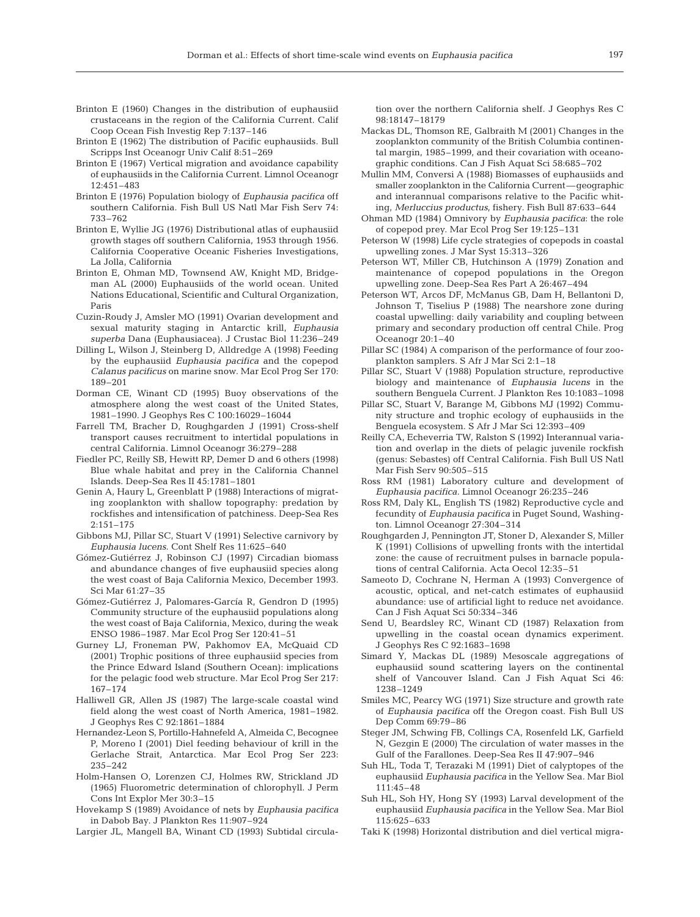- Brinton E (1960) Changes in the distribution of euphausiid crustaceans in the region of the California Current. Calif Coop Ocean Fish Investig Rep 7:137–146
- Brinton E (1962) The distribution of Pacific euphausiids. Bull Scripps Inst Oceanogr Univ Calif 8:51–269
- Brinton E (1967) Vertical migration and avoidance capability of euphausiids in the California Current. Limnol Oceanogr 12:451–483
- Brinton E (1976) Population biology of *Euphausia pacifica* off southern California. Fish Bull US Natl Mar Fish Serv 74: 733–762
- Brinton E, Wyllie JG (1976) Distributional atlas of euphausiid growth stages off southern California, 1953 through 1956. California Cooperative Oceanic Fisheries Investigations, La Jolla, California
- Brinton E, Ohman MD, Townsend AW, Knight MD, Bridgeman AL (2000) Euphausiids of the world ocean. United Nations Educational, Scientific and Cultural Organization, Paris
- Cuzin-Roudy J, Amsler MO (1991) Ovarian development and sexual maturity staging in Antarctic krill, *Euphausia superba* Dana (Euphausiacea). J Crustac Biol 11:236–249
- Dilling L, Wilson J, Steinberg D, Alldredge A (1998) Feeding by the euphausiid *Euphausia pacifica* and the copepod *Calanus pacificus* on marine snow. Mar Ecol Prog Ser 170: 189–201
- Dorman CE, Winant CD (1995) Buoy observations of the atmosphere along the west coast of the United States, 1981–1990. J Geophys Res C 100:16029–16044
- Farrell TM, Bracher D, Roughgarden J (1991) Cross-shelf transport causes recruitment to intertidal populations in central California. Limnol Oceanogr 36:279–288
- Fiedler PC, Reilly SB, Hewitt RP, Demer D and 6 others (1998) Blue whale habitat and prey in the California Channel Islands. Deep-Sea Res II 45:1781–1801
- Genin A, Haury L, Greenblatt P (1988) Interactions of migrating zooplankton with shallow topography: predation by rockfishes and intensification of patchiness. Deep-Sea Res 2:151–175
- Gibbons MJ, Pillar SC, Stuart V (1991) Selective carnivory by *Euphausia lucens*. Cont Shelf Res 11:625–640
- Gómez-Gutiérrez J, Robinson CJ (1997) Circadian biomass and abundance changes of five euphausiid species along the west coast of Baja California Mexico, December 1993. Sci Mar 61:27–35
- Gómez-Gutiérrez J, Palomares-García R, Gendron D (1995) Community structure of the euphausiid populations along the west coast of Baja California, Mexico, during the weak ENSO 1986–1987. Mar Ecol Prog Ser 120:41–51
- Gurney LJ, Froneman PW, Pakhomov EA, McQuaid CD (2001) Trophic positions of three euphausiid species from the Prince Edward Island (Southern Ocean): implications for the pelagic food web structure. Mar Ecol Prog Ser 217: 167–174
- Halliwell GR, Allen JS (1987) The large-scale coastal wind field along the west coast of North America, 1981–1982. J Geophys Res C 92:1861–1884
- Hernandez-Leon S, Portillo-Hahnefeld A, Almeida C, Becognee P, Moreno I (2001) Diel feeding behaviour of krill in the Gerlache Strait, Antarctica. Mar Ecol Prog Ser 223: 235–242
- Holm-Hansen O, Lorenzen CJ, Holmes RW, Strickland JD (1965) Fluorometric determination of chlorophyll. J Perm Cons Int Explor Mer 30:3–15
- Hovekamp S (1989) Avoidance of nets by *Euphausia pacifica* in Dabob Bay. J Plankton Res 11:907–924
- Largier JL, Mangell BA, Winant CD (1993) Subtidal circula-

tion over the northern California shelf. J Geophys Res C 98:18147–18179

- Mackas DL, Thomson RE, Galbraith M (2001) Changes in the zooplankton community of the British Columbia continental margin, 1985–1999, and their covariation with oceanographic conditions. Can J Fish Aquat Sci 58:685–702
- Mullin MM, Conversi A (1988) Biomasses of euphausiids and smaller zooplankton in the California Current—geographic and interannual comparisons relative to the Pacific whiting, *Merluccius productus*, fishery. Fish Bull 87:633–644
- Ohman MD (1984) Omnivory by *Euphausia pacifica*: the role of copepod prey. Mar Ecol Prog Ser 19:125–131
- Peterson W (1998) Life cycle strategies of copepods in coastal upwelling zones. J Mar Syst 15:313–326
- Peterson WT, Miller CB, Hutchinson A (1979) Zonation and maintenance of copepod populations in the Oregon upwelling zone. Deep-Sea Res Part A 26:467–494
- Peterson WT, Arcos DF, McManus GB, Dam H, Bellantoni D, Johnson T, Tiselius P (1988) The nearshore zone during coastal upwelling: daily variability and coupling between primary and secondary production off central Chile. Prog Oceanogr 20:1–40
- Pillar SC (1984) A comparison of the performance of four zooplankton samplers. S Afr J Mar Sci 2:1–18
- Pillar SC, Stuart V (1988) Population structure, reproductive biology and maintenance of *Euphausia lucens* in the southern Benguela Current. J Plankton Res 10:1083–1098
- Pillar SC, Stuart V, Barange M, Gibbons MJ (1992) Community structure and trophic ecology of euphausiids in the Benguela ecosystem. S Afr J Mar Sci 12:393–409
- Reilly CA, Echeverria TW, Ralston S (1992) Interannual variation and overlap in the diets of pelagic juvenile rockfish (genus: Sebastes) off Central California. Fish Bull US Natl Mar Fish Serv 90:505–515
- Ross RM (1981) Laboratory culture and development of *Euphausia pacifica.* Limnol Oceanogr 26:235–246
- Ross RM, Daly KL, English TS (1982) Reproductive cycle and fecundity of *Euphausia pacifica* in Puget Sound, Washington. Limnol Oceanogr 27:304–314
- Roughgarden J, Pennington JT, Stoner D, Alexander S, Miller K (1991) Collisions of upwelling fronts with the intertidal zone: the cause of recruitment pulses in barnacle populations of central California. Acta Oecol 12:35–51
- Sameoto D, Cochrane N, Herman A (1993) Convergence of acoustic, optical, and net-catch estimates of euphausiid abundance: use of artificial light to reduce net avoidance. Can J Fish Aquat Sci 50:334–346
- Send U, Beardsley RC, Winant CD (1987) Relaxation from upwelling in the coastal ocean dynamics experiment. J Geophys Res C 92:1683–1698
- Simard Y, Mackas DL (1989) Mesoscale aggregations of euphausiid sound scattering layers on the continental shelf of Vancouver Island. Can J Fish Aquat Sci 46: 1238–1249
- Smiles MC, Pearcy WG (1971) Size structure and growth rate of *Euphausia pacifica* off the Oregon coast. Fish Bull US Dep Comm 69:79–86
- Steger JM, Schwing FB, Collings CA, Rosenfeld LK, Garfield N, Gezgin E (2000) The circulation of water masses in the Gulf of the Farallones. Deep-Sea Res II 47:907–946
- Suh HL, Toda T, Terazaki M (1991) Diet of calyptopes of the euphausiid *Euphausia pacifica* in the Yellow Sea. Mar Biol 111:45–48
- Suh HL, Soh HY, Hong SY (1993) Larval development of the euphausiid *Euphausia pacifica* in the Yellow Sea. Mar Biol 115:625–633
- Taki K (1998) Horizontal distribution and diel vertical migra-